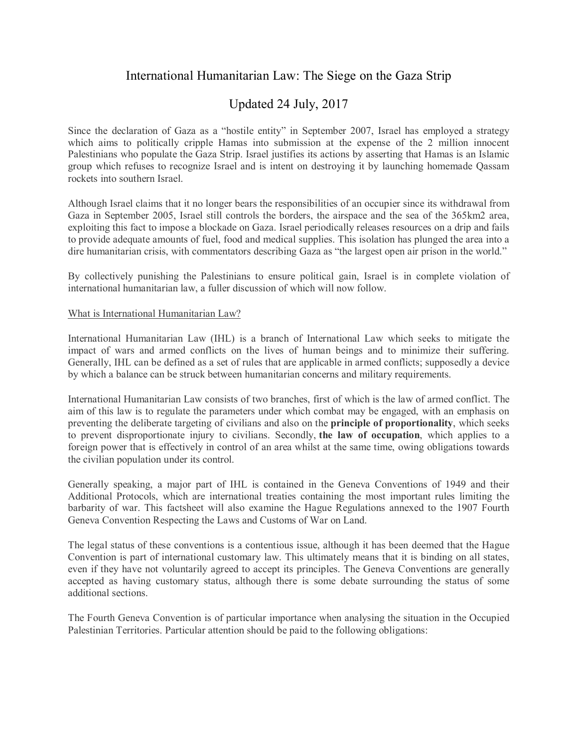# International Humanitarian Law: The Siege on the Gaza Strip

# Updated 24 July, 2017

Since the declaration of Gaza as a "hostile entity" in September 2007, Israel has employed a strategy which aims to politically cripple Hamas into submission at the expense of the 2 million innocent Palestinians who populate the Gaza Strip. Israel justifies its actions by asserting that Hamas is an Islamic group which refuses to recognize Israel and is intent on destroying it by launching homemade Qassam rockets into southern Israel.

Although Israel claims that it no longer bears the responsibilities of an occupier since its withdrawal from Gaza in September 2005, Israel still controls the borders, the airspace and the sea of the 365km2 area, exploiting this fact to impose a blockade on Gaza. Israel periodically releases resources on a drip and fails to provide adequate amounts of fuel, food and medical supplies. This isolation has plunged the area into a dire humanitarian crisis, with commentators describing Gaza as "the largest open air prison in the world."

By collectively punishing the Palestinians to ensure political gain, Israel is in complete violation of international humanitarian law, a fuller discussion of which will now follow.

#### What is International Humanitarian Law?

International Humanitarian Law (IHL) is a branch of International Law which seeks to mitigate the impact of wars and armed conflicts on the lives of human beings and to minimize their suffering. Generally, IHL can be defined as a set of rules that are applicable in armed conflicts; supposedly a device by which a balance can be struck between humanitarian concerns and military requirements.

International Humanitarian Law consists of two branches, first of which is the law of armed conflict. The aim of this law is to regulate the parameters under which combat may be engaged, with an emphasis on preventing the deliberate targeting of civilians and also on the **principle of proportionality**, which seeks to prevent disproportionate injury to civilians. Secondly, **the law of occupation**, which applies to a foreign power that is effectively in control of an area whilst at the same time, owing obligations towards the civilian population under its control.

Generally speaking, a major part of IHL is contained in the Geneva Conventions of 1949 and their Additional Protocols, which are international treaties containing the most important rules limiting the barbarity of war. This factsheet will also examine the Hague Regulations annexed to the 1907 Fourth Geneva Convention Respecting the Laws and Customs of War on Land.

The legal status of these conventions is a contentious issue, although it has been deemed that the Hague Convention is part of international customary law. This ultimately means that it is binding on all states, even if they have not voluntarily agreed to accept its principles. The Geneva Conventions are generally accepted as having customary status, although there is some debate surrounding the status of some additional sections.

The Fourth Geneva Convention is of particular importance when analysing the situation in the Occupied Palestinian Territories. Particular attention should be paid to the following obligations: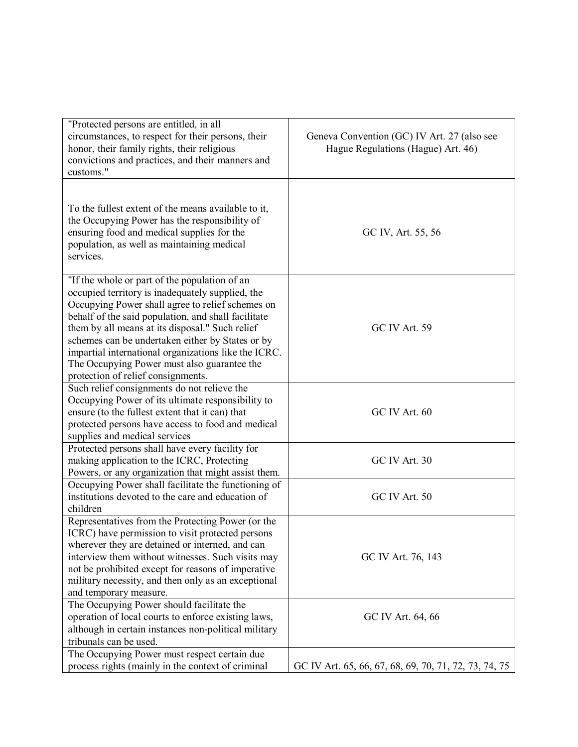| "Protected persons are entitled, in all<br>circumstances, to respect for their persons, their<br>honor, their family rights, their religious<br>convictions and practices, and their manners and<br>customs."                                                                                                                                                                                                                                                    | Geneva Convention (GC) IV Art. 27 (also see<br>Hague Regulations (Hague) Art. 46) |
|------------------------------------------------------------------------------------------------------------------------------------------------------------------------------------------------------------------------------------------------------------------------------------------------------------------------------------------------------------------------------------------------------------------------------------------------------------------|-----------------------------------------------------------------------------------|
| To the fullest extent of the means available to it,<br>the Occupying Power has the responsibility of<br>ensuring food and medical supplies for the<br>population, as well as maintaining medical<br>services.                                                                                                                                                                                                                                                    | GC IV, Art. 55, 56                                                                |
| "If the whole or part of the population of an<br>occupied territory is inadequately supplied, the<br>Occupying Power shall agree to relief schemes on<br>behalf of the said population, and shall facilitate<br>them by all means at its disposal." Such relief<br>schemes can be undertaken either by States or by<br>impartial international organizations like the ICRC.<br>The Occupying Power must also guarantee the<br>protection of relief consignments. | GC IV Art. 59                                                                     |
| Such relief consignments do not relieve the<br>Occupying Power of its ultimate responsibility to<br>ensure (to the fullest extent that it can) that<br>protected persons have access to food and medical<br>supplies and medical services                                                                                                                                                                                                                        | GC IV Art. 60                                                                     |
| Protected persons shall have every facility for<br>making application to the ICRC, Protecting<br>Powers, or any organization that might assist them.                                                                                                                                                                                                                                                                                                             | GC IV Art. 30                                                                     |
| Occupying Power shall facilitate the functioning of<br>institutions devoted to the care and education of<br>children                                                                                                                                                                                                                                                                                                                                             | GC IV Art. 50                                                                     |
| Representatives from the Protecting Power (or the<br>ICRC) have permission to visit protected persons<br>wherever they are detained or interned, and can<br>interview them without witnesses. Such visits may<br>not be prohibited except for reasons of imperative<br>military necessity, and then only as an exceptional<br>and temporary measure.                                                                                                             | GC IV Art. 76, 143                                                                |
| The Occupying Power should facilitate the<br>operation of local courts to enforce existing laws,<br>although in certain instances non-political military<br>tribunals can be used.                                                                                                                                                                                                                                                                               | GC IV Art. 64, 66                                                                 |
| The Occupying Power must respect certain due<br>process rights (mainly in the context of criminal                                                                                                                                                                                                                                                                                                                                                                | GC IV Art. 65, 66, 67, 68, 69, 70, 71, 72, 73, 74, 75                             |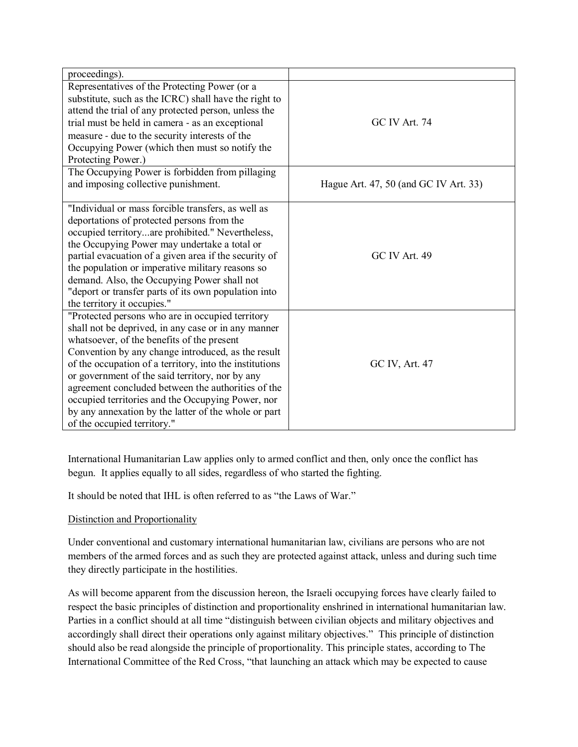| proceedings).                                                                                                                                                                                                                                                                                                                                                                                                                                                                                                               |                                       |
|-----------------------------------------------------------------------------------------------------------------------------------------------------------------------------------------------------------------------------------------------------------------------------------------------------------------------------------------------------------------------------------------------------------------------------------------------------------------------------------------------------------------------------|---------------------------------------|
| Representatives of the Protecting Power (or a<br>substitute, such as the ICRC) shall have the right to<br>attend the trial of any protected person, unless the<br>trial must be held in camera - as an exceptional<br>measure - due to the security interests of the<br>Occupying Power (which then must so notify the<br>Protecting Power.)                                                                                                                                                                                | GC IV Art. 74                         |
| The Occupying Power is forbidden from pillaging<br>and imposing collective punishment.                                                                                                                                                                                                                                                                                                                                                                                                                                      | Hague Art. 47, 50 (and GC IV Art. 33) |
| "Individual or mass forcible transfers, as well as<br>deportations of protected persons from the<br>occupied territoryare prohibited." Nevertheless,<br>the Occupying Power may undertake a total or<br>partial evacuation of a given area if the security of<br>the population or imperative military reasons so<br>demand. Also, the Occupying Power shall not<br>"deport or transfer parts of its own population into<br>the territory it occupies."                                                                     | GC IV Art. 49                         |
| "Protected persons who are in occupied territory<br>shall not be deprived, in any case or in any manner<br>whatsoever, of the benefits of the present<br>Convention by any change introduced, as the result<br>of the occupation of a territory, into the institutions<br>or government of the said territory, nor by any<br>agreement concluded between the authorities of the<br>occupied territories and the Occupying Power, nor<br>by any annexation by the latter of the whole or part<br>of the occupied territory." | GC IV, Art. 47                        |

International Humanitarian Law applies only to armed conflict and then, only once the conflict has begun. It applies equally to all sides, regardless of who started the fighting.

It should be noted that IHL is often referred to as "the Laws of War."

## Distinction and Proportionality

Under conventional and customary international humanitarian law, civilians are persons who are not members of the armed forces and as such they are protected against attack, unless and during such time they directly participate in the hostilities.

As will become apparent from the discussion hereon, the Israeli occupying forces have clearly failed to respect the basic principles of distinction and proportionality enshrined in international humanitarian law. Parties in a conflict should at all time "distinguish between civilian objects and military objectives and accordingly shall direct their operations only against military objectives." This principle of distinction should also be read alongside the principle of proportionality. This principle states, according to The International Committee of the Red Cross, "that launching an attack which may be expected to cause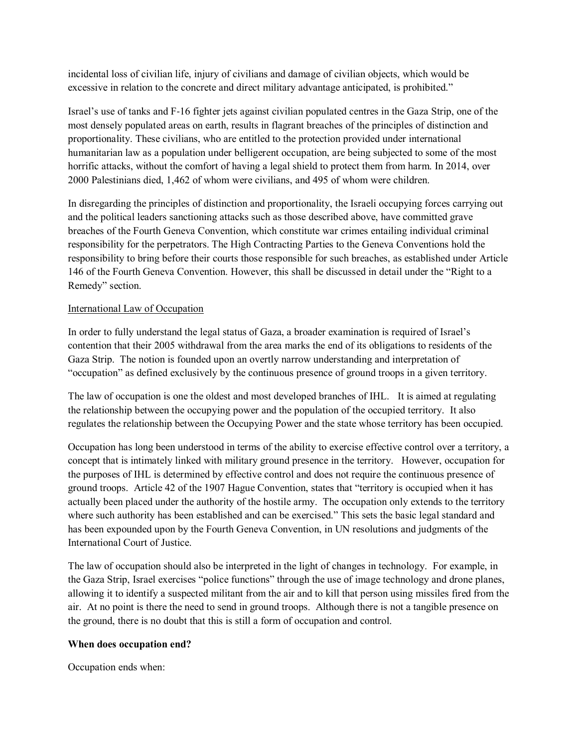incidental loss of civilian life, injury of civilians and damage of civilian objects, which would be excessive in relation to the concrete and direct military advantage anticipated, is prohibited."

Israel's use of tanks and F‐16 fighter jets against civilian populated centres in the Gaza Strip, one of the most densely populated areas on earth, results in flagrant breaches of the principles of distinction and proportionality. These civilians, who are entitled to the protection provided under international humanitarian law as a population under belligerent occupation, are being subjected to some of the most horrific attacks, without the comfort of having a legal shield to protect them from harm. In 2014, over 2000 Palestinians died, 1,462 of whom were civilians, and 495 of whom were children.

In disregarding the principles of distinction and proportionality, the Israeli occupying forces carrying out and the political leaders sanctioning attacks such as those described above, have committed grave breaches of the Fourth Geneva Convention, which constitute war crimes entailing individual criminal responsibility for the perpetrators. The High Contracting Parties to the Geneva Conventions hold the responsibility to bring before their courts those responsible for such breaches, as established under Article 146 of the Fourth Geneva Convention. However, this shall be discussed in detail under the "Right to a Remedy" section.

## International Law of Occupation

In order to fully understand the legal status of Gaza, a broader examination is required of Israel's contention that their 2005 withdrawal from the area marks the end of its obligations to residents of the Gaza Strip. The notion is founded upon an overtly narrow understanding and interpretation of "occupation" as defined exclusively by the continuous presence of ground troops in a given territory.

The law of occupation is one the oldest and most developed branches of IHL. It is aimed at regulating the relationship between the occupying power and the population of the occupied territory. It also regulates the relationship between the Occupying Power and the state whose territory has been occupied.

Occupation has long been understood in terms of the ability to exercise effective control over a territory, a concept that is intimately linked with military ground presence in the territory. However, occupation for the purposes of IHL is determined by effective control and does not require the continuous presence of ground troops. Article 42 of the 1907 Hague Convention, states that "territory is occupied when it has actually been placed under the authority of the hostile army. The occupation only extends to the territory where such authority has been established and can be exercised." This sets the basic legal standard and has been expounded upon by the Fourth Geneva Convention, in UN resolutions and judgments of the International Court of Justice.

The law of occupation should also be interpreted in the light of changes in technology. For example, in the Gaza Strip, Israel exercises "police functions" through the use of image technology and drone planes, allowing it to identify a suspected militant from the air and to kill that person using missiles fired from the air. At no point is there the need to send in ground troops. Although there is not a tangible presence on the ground, there is no doubt that this is still a form of occupation and control.

## **When does occupation end?**

Occupation ends when: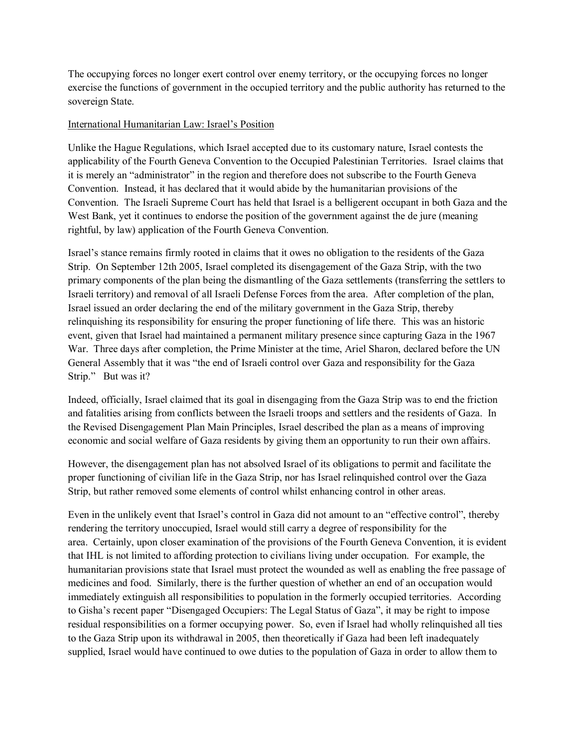The occupying forces no longer exert control over enemy territory, or the occupying forces no longer exercise the functions of government in the occupied territory and the public authority has returned to the sovereign State.

### International Humanitarian Law: Israel's Position

Unlike the Hague Regulations, which Israel accepted due to its customary nature, Israel contests the applicability of the Fourth Geneva Convention to the Occupied Palestinian Territories. Israel claims that it is merely an "administrator" in the region and therefore does not subscribe to the Fourth Geneva Convention. Instead, it has declared that it would abide by the humanitarian provisions of the Convention. The Israeli Supreme Court has held that Israel is a belligerent occupant in both Gaza and the West Bank, yet it continues to endorse the position of the government against the de jure (meaning rightful, by law) application of the Fourth Geneva Convention.

Israel's stance remains firmly rooted in claims that it owes no obligation to the residents of the Gaza Strip. On September 12th 2005, Israel completed its disengagement of the Gaza Strip, with the two primary components of the plan being the dismantling of the Gaza settlements (transferring the settlers to Israeli territory) and removal of all Israeli Defense Forces from the area. After completion of the plan, Israel issued an order declaring the end of the military government in the Gaza Strip, thereby relinquishing its responsibility for ensuring the proper functioning of life there. This was an historic event, given that Israel had maintained a permanent military presence since capturing Gaza in the 1967 War. Three days after completion, the Prime Minister at the time, Ariel Sharon, declared before the UN General Assembly that it was "the end of Israeli control over Gaza and responsibility for the Gaza Strip." But was it?

Indeed, officially, Israel claimed that its goal in disengaging from the Gaza Strip was to end the friction and fatalities arising from conflicts between the Israeli troops and settlers and the residents of Gaza. In the Revised Disengagement Plan Main Principles, Israel described the plan as a means of improving economic and social welfare of Gaza residents by giving them an opportunity to run their own affairs.

However, the disengagement plan has not absolved Israel of its obligations to permit and facilitate the proper functioning of civilian life in the Gaza Strip, nor has Israel relinquished control over the Gaza Strip, but rather removed some elements of control whilst enhancing control in other areas.

Even in the unlikely event that Israel's control in Gaza did not amount to an "effective control", thereby rendering the territory unoccupied, Israel would still carry a degree of responsibility for the area. Certainly, upon closer examination of the provisions of the Fourth Geneva Convention, it is evident that IHL is not limited to affording protection to civilians living under occupation. For example, the humanitarian provisions state that Israel must protect the wounded as well as enabling the free passage of medicines and food. Similarly, there is the further question of whether an end of an occupation would immediately extinguish all responsibilities to population in the formerly occupied territories. According to Gisha's recent paper "Disengaged Occupiers: The Legal Status of Gaza", it may be right to impose residual responsibilities on a former occupying power. So, even if Israel had wholly relinquished all ties to the Gaza Strip upon its withdrawal in 2005, then theoretically if Gaza had been left inadequately supplied, Israel would have continued to owe duties to the population of Gaza in order to allow them to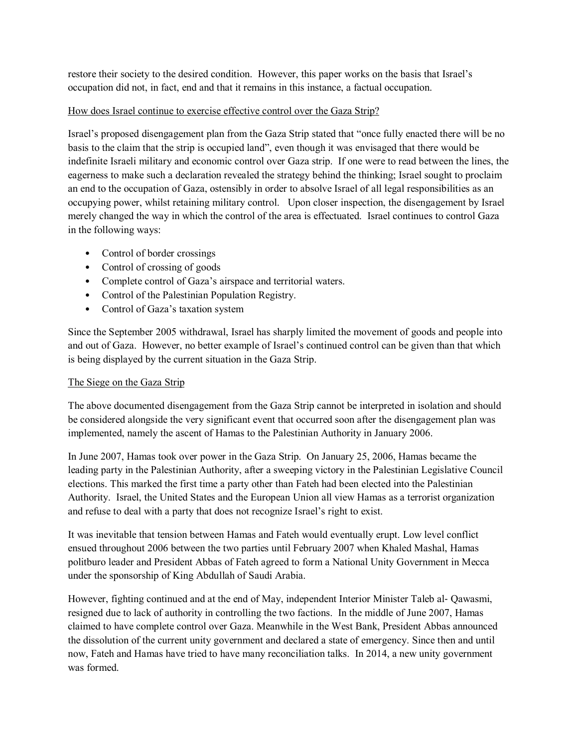restore their society to the desired condition. However, this paper works on the basis that Israel's occupation did not, in fact, end and that it remains in this instance, a factual occupation.

### How does Israel continue to exercise effective control over the Gaza Strip?

Israel's proposed disengagement plan from the Gaza Strip stated that "once fully enacted there will be no basis to the claim that the strip is occupied land", even though it was envisaged that there would be indefinite Israeli military and economic control over Gaza strip. If one were to read between the lines, the eagerness to make such a declaration revealed the strategy behind the thinking; Israel sought to proclaim an end to the occupation of Gaza, ostensibly in order to absolve Israel of all legal responsibilities as an occupying power, whilst retaining military control. Upon closer inspection, the disengagement by Israel merely changed the way in which the control of the area is effectuated. Israel continues to control Gaza in the following ways:

- Control of border crossings
- Control of crossing of goods
- Complete control of Gaza's airspace and territorial waters.
- Control of the Palestinian Population Registry.
- Control of Gaza's taxation system

Since the September 2005 withdrawal, Israel has sharply limited the movement of goods and people into and out of Gaza. However, no better example of Israel's continued control can be given than that which is being displayed by the current situation in the Gaza Strip.

## The Siege on the Gaza Strip

The above documented disengagement from the Gaza Strip cannot be interpreted in isolation and should be considered alongside the very significant event that occurred soon after the disengagement plan was implemented, namely the ascent of Hamas to the Palestinian Authority in January 2006.

In June 2007, Hamas took over power in the Gaza Strip. On January 25, 2006, Hamas became the leading party in the Palestinian Authority, after a sweeping victory in the Palestinian Legislative Council elections. This marked the first time a party other than Fateh had been elected into the Palestinian Authority. Israel, the United States and the European Union all view Hamas as a terrorist organization and refuse to deal with a party that does not recognize Israel's right to exist.

It was inevitable that tension between Hamas and Fateh would eventually erupt. Low level conflict ensued throughout 2006 between the two parties until February 2007 when Khaled Mashal, Hamas politburo leader and President Abbas of Fateh agreed to form a National Unity Government in Mecca under the sponsorship of King Abdullah of Saudi Arabia.

However, fighting continued and at the end of May, independent Interior Minister Taleb al‐ Qawasmi, resigned due to lack of authority in controlling the two factions. In the middle of June 2007, Hamas claimed to have complete control over Gaza. Meanwhile in the West Bank, President Abbas announced the dissolution of the current unity government and declared a state of emergency. Since then and until now, Fateh and Hamas have tried to have many reconciliation talks. In 2014, a new unity government was formed.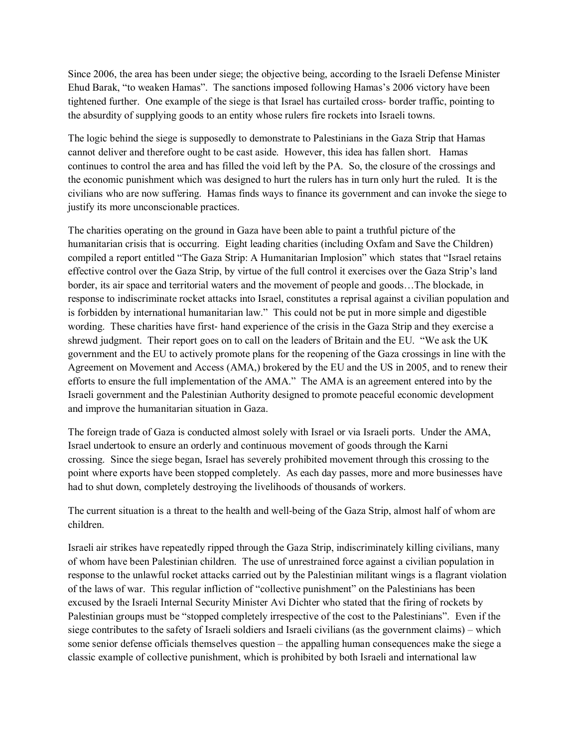Since 2006, the area has been under siege; the objective being, according to the Israeli Defense Minister Ehud Barak, "to weaken Hamas". The sanctions imposed following Hamas's 2006 victory have been tightened further. One example of the siege is that Israel has curtailed cross‐ border traffic, pointing to the absurdity of supplying goods to an entity whose rulers fire rockets into Israeli towns.

The logic behind the siege is supposedly to demonstrate to Palestinians in the Gaza Strip that Hamas cannot deliver and therefore ought to be cast aside. However, this idea has fallen short. Hamas continues to control the area and has filled the void left by the PA. So, the closure of the crossings and the economic punishment which was designed to hurt the rulers has in turn only hurt the ruled. It is the civilians who are now suffering. Hamas finds ways to finance its government and can invoke the siege to justify its more unconscionable practices.

The charities operating on the ground in Gaza have been able to paint a truthful picture of the humanitarian crisis that is occurring. Eight leading charities (including Oxfam and Save the Children) compiled a report entitled "The Gaza Strip: A Humanitarian Implosion" which states that "Israel retains effective control over the Gaza Strip, by virtue of the full control it exercises over the Gaza Strip's land border, its air space and territorial waters and the movement of people and goods…The blockade, in response to indiscriminate rocket attacks into Israel, constitutes a reprisal against a civilian population and is forbidden by international humanitarian law." This could not be put in more simple and digestible wording. These charities have first-hand experience of the crisis in the Gaza Strip and they exercise a shrewd judgment. Their report goes on to call on the leaders of Britain and the EU. "We ask the UK government and the EU to actively promote plans for the reopening of the Gaza crossings in line with the Agreement on Movement and Access (AMA,) brokered by the EU and the US in 2005, and to renew their efforts to ensure the full implementation of the AMA." The AMA is an agreement entered into by the Israeli government and the Palestinian Authority designed to promote peaceful economic development and improve the humanitarian situation in Gaza.

The foreign trade of Gaza is conducted almost solely with Israel or via Israeli ports. Under the AMA, Israel undertook to ensure an orderly and continuous movement of goods through the Karni crossing. Since the siege began, Israel has severely prohibited movement through this crossing to the point where exports have been stopped completely. As each day passes, more and more businesses have had to shut down, completely destroying the livelihoods of thousands of workers.

The current situation is a threat to the health and well-being of the Gaza Strip, almost half of whom are children.

Israeli air strikes have repeatedly ripped through the Gaza Strip, indiscriminately killing civilians, many of whom have been Palestinian children. The use of unrestrained force against a civilian population in response to the unlawful rocket attacks carried out by the Palestinian militant wings is a flagrant violation of the laws of war. This regular infliction of "collective punishment" on the Palestinians has been excused by the Israeli Internal Security Minister Avi Dichter who stated that the firing of rockets by Palestinian groups must be "stopped completely irrespective of the cost to the Palestinians". Even if the siege contributes to the safety of Israeli soldiers and Israeli civilians (as the government claims) – which some senior defense officials themselves question – the appalling human consequences make the siege a classic example of collective punishment, which is prohibited by both Israeli and international law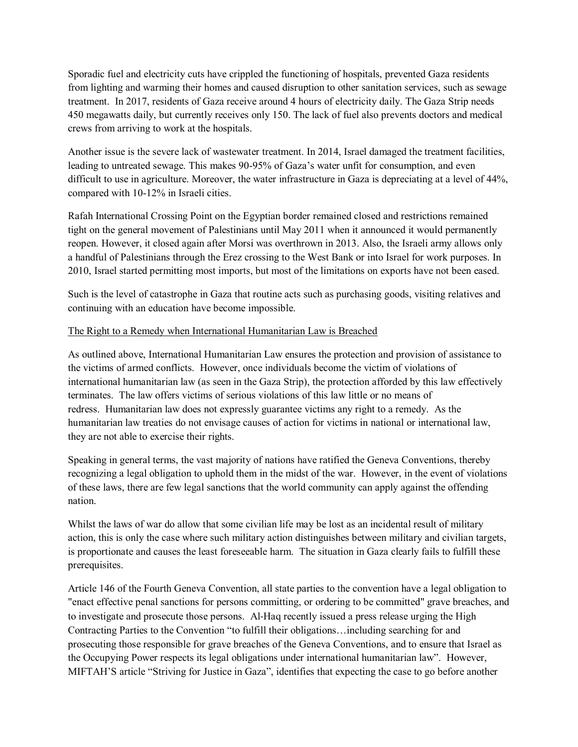Sporadic fuel and electricity cuts have crippled the functioning of hospitals, prevented Gaza residents from lighting and warming their homes and caused disruption to other sanitation services, such as sewage treatment. In 2017, residents of Gaza receive around 4 hours of electricity daily. The Gaza Strip needs 450 megawatts daily, but currently receives only 150. The lack of fuel also prevents doctors and medical crews from arriving to work at the hospitals.

Another issue is the severe lack of wastewater treatment. In 2014, Israel damaged the treatment facilities, leading to untreated sewage. This makes 90-95% of Gaza's water unfit for consumption, and even difficult to use in agriculture. Moreover, the water infrastructure in Gaza is depreciating at a level of 44%, compared with 10-12% in Israeli cities.

Rafah International Crossing Point on the Egyptian border remained closed and restrictions remained tight on the general movement of Palestinians until May 2011 when it announced it would permanently reopen. However, it closed again after Morsi was overthrown in 2013. Also, the Israeli army allows only a handful of Palestinians through the Erez crossing to the West Bank or into Israel for work purposes. In 2010, Israel started permitting most imports, but most of the limitations on exports have not been eased.

Such is the level of catastrophe in Gaza that routine acts such as purchasing goods, visiting relatives and continuing with an education have become impossible.

### The Right to a Remedy when International Humanitarian Law is Breached

As outlined above, International Humanitarian Law ensures the protection and provision of assistance to the victims of armed conflicts. However, once individuals become the victim of violations of international humanitarian law (as seen in the Gaza Strip), the protection afforded by this law effectively terminates. The law offers victims of serious violations of this law little or no means of redress. Humanitarian law does not expressly guarantee victims any right to a remedy. As the humanitarian law treaties do not envisage causes of action for victims in national or international law, they are not able to exercise their rights.

Speaking in general terms, the vast majority of nations have ratified the Geneva Conventions, thereby recognizing a legal obligation to uphold them in the midst of the war. However, in the event of violations of these laws, there are few legal sanctions that the world community can apply against the offending nation.

Whilst the laws of war do allow that some civilian life may be lost as an incidental result of military action, this is only the case where such military action distinguishes between military and civilian targets, is proportionate and causes the least foreseeable harm. The situation in Gaza clearly fails to fulfill these prerequisites.

Article 146 of the Fourth Geneva Convention, all state parties to the convention have a legal obligation to "enact effective penal sanctions for persons committing, or ordering to be committed" grave breaches, and to investigate and prosecute those persons. Al-Haq recently issued a press release urging the High Contracting Parties to the Convention "to fulfill their obligations…including searching for and prosecuting those responsible for grave breaches of the Geneva Conventions, and to ensure that Israel as the Occupying Power respects its legal obligations under international humanitarian law". However, MIFTAH'S article "Striving for Justice in Gaza", identifies that expecting the case to go before another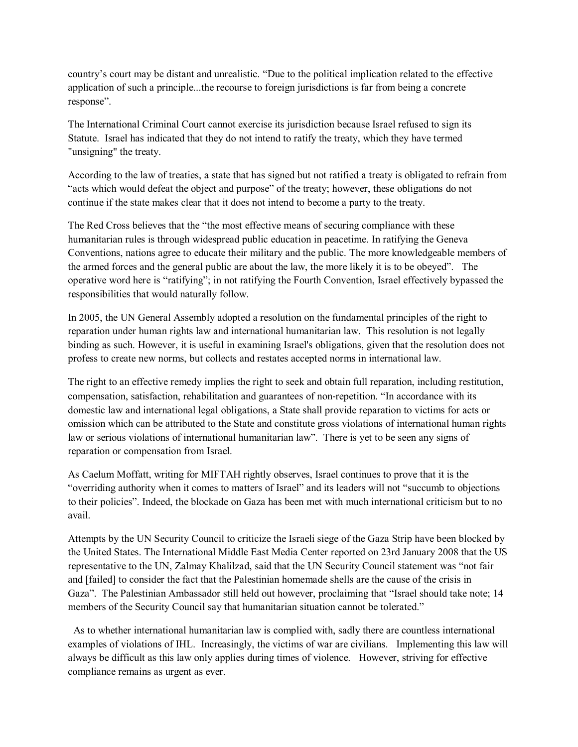country's court may be distant and unrealistic. "Due to the political implication related to the effective application of such a principle...the recourse to foreign jurisdictions is far from being a concrete response".

The International Criminal Court cannot exercise its jurisdiction because Israel refused to sign its Statute. Israel has indicated that they do not intend to ratify the treaty, which they have termed "unsigning" the treaty.

According to the law of treaties, a state that has signed but not ratified a treaty is obligated to refrain from "acts which would defeat the object and purpose" of the treaty; however, these obligations do not continue if the state makes clear that it does not intend to become a party to the treaty.

The Red Cross believes that the "the most effective means of securing compliance with these humanitarian rules is through widespread public education in peacetime. In ratifying the Geneva Conventions, nations agree to educate their military and the public. The more knowledgeable members of the armed forces and the general public are about the law, the more likely it is to be obeyed". The operative word here is "ratifying"; in not ratifying the Fourth Convention, Israel effectively bypassed the responsibilities that would naturally follow.

In 2005, the UN General Assembly adopted a resolution on the fundamental principles of the right to reparation under human rights law and international humanitarian law. This resolution is not legally binding as such. However, it is useful in examining Israel's obligations, given that the resolution does not profess to create new norms, but collects and restates accepted norms in international law.

The right to an effective remedy implies the right to seek and obtain full reparation, including restitution, compensation, satisfaction, rehabilitation and guarantees of non-repetition. "In accordance with its domestic law and international legal obligations, a State shall provide reparation to victims for acts or omission which can be attributed to the State and constitute gross violations of international human rights law or serious violations of international humanitarian law". There is yet to be seen any signs of reparation or compensation from Israel.

As Caelum Moffatt, writing for MIFTAH rightly observes, Israel continues to prove that it is the "overriding authority when it comes to matters of Israel" and its leaders will not "succumb to objections to their policies". Indeed, the blockade on Gaza has been met with much international criticism but to no avail.

Attempts by the UN Security Council to criticize the Israeli siege of the Gaza Strip have been blocked by the United States. The International Middle East Media Center reported on 23rd January 2008 that the US representative to the UN, Zalmay Khalilzad, said that the UN Security Council statement was "not fair and [failed] to consider the fact that the Palestinian homemade shells are the cause of the crisis in Gaza". The Palestinian Ambassador still held out however, proclaiming that "Israel should take note; 14 members of the Security Council say that humanitarian situation cannot be tolerated."

 As to whether international humanitarian law is complied with, sadly there are countless international examples of violations of IHL. Increasingly, the victims of war are civilians. Implementing this law will always be difficult as this law only applies during times of violence. However, striving for effective compliance remains as urgent as ever.